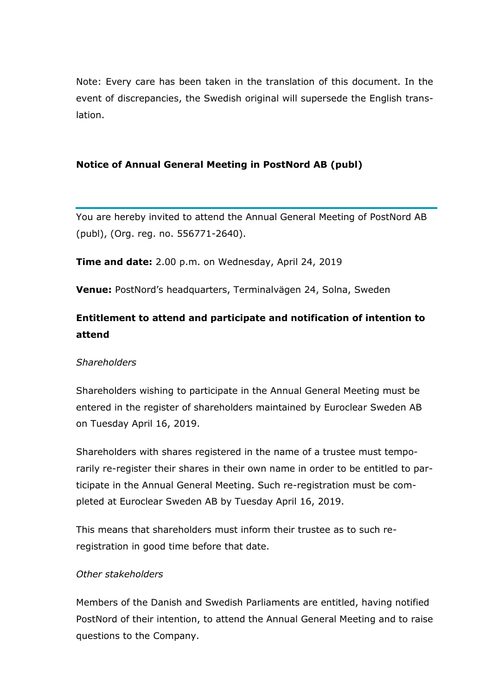Note: Every care has been taken in the translation of this document. In the event of discrepancies, the Swedish original will supersede the English translation.

## **Notice of Annual General Meeting in PostNord AB (publ)**

You are hereby invited to attend the Annual General Meeting of PostNord AB (publ), (Org. reg. no. 556771-2640).

**Time and date:** 2.00 p.m. on Wednesday, April 24, 2019

**Venue:** PostNord's headquarters, Terminalvägen 24, Solna, Sweden

# **Entitlement to attend and participate and notification of intention to attend**

## *Shareholders*

Shareholders wishing to participate in the Annual General Meeting must be entered in the register of shareholders maintained by Euroclear Sweden AB on Tuesday April 16, 2019.

Shareholders with shares registered in the name of a trustee must temporarily re-register their shares in their own name in order to be entitled to participate in the Annual General Meeting. Such re-registration must be completed at Euroclear Sweden AB by Tuesday April 16, 2019.

This means that shareholders must inform their trustee as to such reregistration in good time before that date.

## *Other stakeholders*

Members of the Danish and Swedish Parliaments are entitled, having notified PostNord of their intention, to attend the Annual General Meeting and to raise questions to the Company.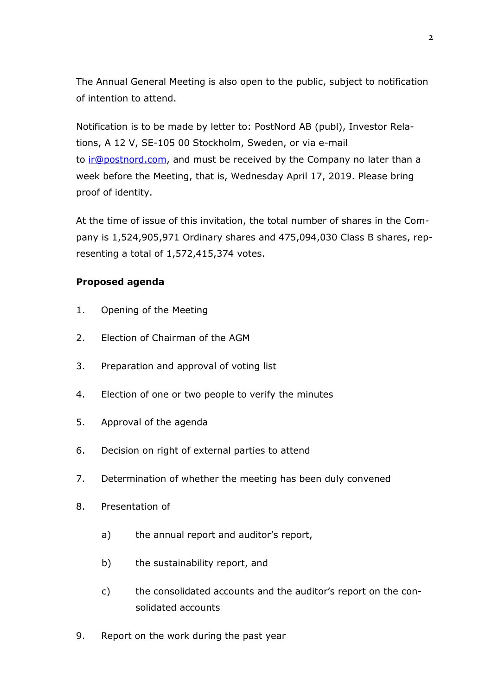The Annual General Meeting is also open to the public, subject to notification of intention to attend.

Notification is to be made by letter to: PostNord AB (publ), Investor Relations, A 12 V, SE-105 00 Stockholm, Sweden, or via e-mail to [ir@postnord.com,](mailto:ir@postnord.com) and must be received by the Company no later than a week before the Meeting, that is, Wednesday April 17, 2019. Please bring proof of identity.

At the time of issue of this invitation, the total number of shares in the Company is 1,524,905,971 Ordinary shares and 475,094,030 Class B shares, representing a total of 1,572,415,374 votes.

## **Proposed agenda**

- 1. Opening of the Meeting
- 2. Election of Chairman of the AGM
- 3. Preparation and approval of voting list
- 4. Election of one or two people to verify the minutes
- 5. Approval of the agenda
- 6. Decision on right of external parties to attend
- 7. Determination of whether the meeting has been duly convened
- 8. Presentation of
	- a) the annual report and auditor's report,
	- b) the sustainability report, and
	- c) the consolidated accounts and the auditor's report on the consolidated accounts
- 9. Report on the work during the past year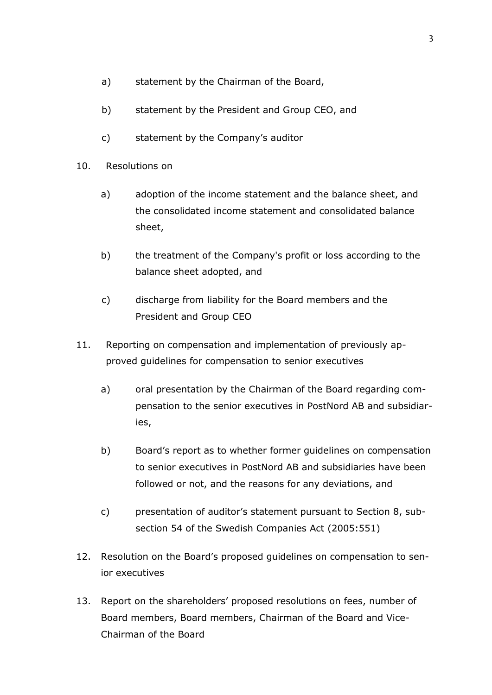- a) statement by the Chairman of the Board,
- b) statement by the President and Group CEO, and
- c) statement by the Company's auditor
- 10. Resolutions on
	- a) adoption of the income statement and the balance sheet, and the consolidated income statement and consolidated balance sheet,
	- b) the treatment of the Company's profit or loss according to the balance sheet adopted, and
	- c) discharge from liability for the Board members and the President and Group CEO
- 11. Reporting on compensation and implementation of previously approved guidelines for compensation to senior executives
	- a) oral presentation by the Chairman of the Board regarding compensation to the senior executives in PostNord AB and subsidiaries,
	- b) Board's report as to whether former guidelines on compensation to senior executives in PostNord AB and subsidiaries have been followed or not, and the reasons for any deviations, and
	- c) presentation of auditor's statement pursuant to Section 8, subsection 54 of the Swedish Companies Act (2005:551)
- 12. Resolution on the Board's proposed guidelines on compensation to senior executives
- 13. Report on the shareholders' proposed resolutions on fees, number of Board members, Board members, Chairman of the Board and Vice-Chairman of the Board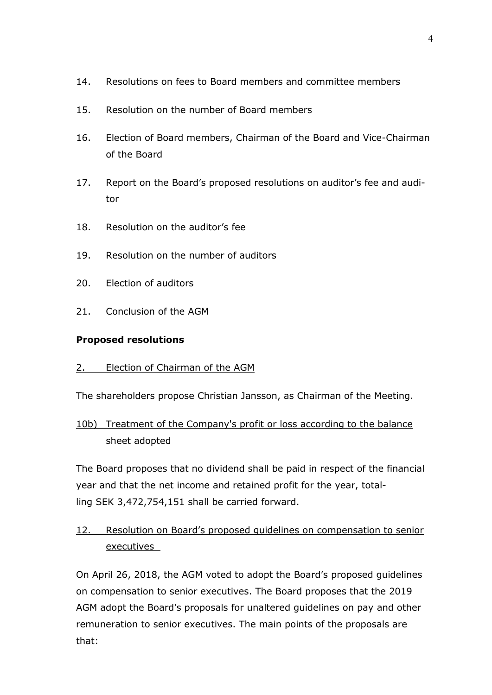- 14. Resolutions on fees to Board members and committee members
- 15. Resolution on the number of Board members
- 16. Election of Board members, Chairman of the Board and Vice-Chairman of the Board
- 17. Report on the Board's proposed resolutions on auditor's fee and auditor
- 18. Resolution on the auditor's fee
- 19. Resolution on the number of auditors
- 20. Election of auditors
- 21. Conclusion of the AGM

## **Proposed resolutions**

## 2. Election of Chairman of the AGM

The shareholders propose Christian Jansson, as Chairman of the Meeting.

# 10b) Treatment of the Company's profit or loss according to the balance sheet adopted

The Board proposes that no dividend shall be paid in respect of the financial year and that the net income and retained profit for the year, totalling SEK 3,472,754,151 shall be carried forward.

# 12. Resolution on Board's proposed guidelines on compensation to senior executives

On April 26, 2018, the AGM voted to adopt the Board's proposed guidelines on compensation to senior executives. The Board proposes that the 2019 AGM adopt the Board's proposals for unaltered guidelines on pay and other remuneration to senior executives. The main points of the proposals are that: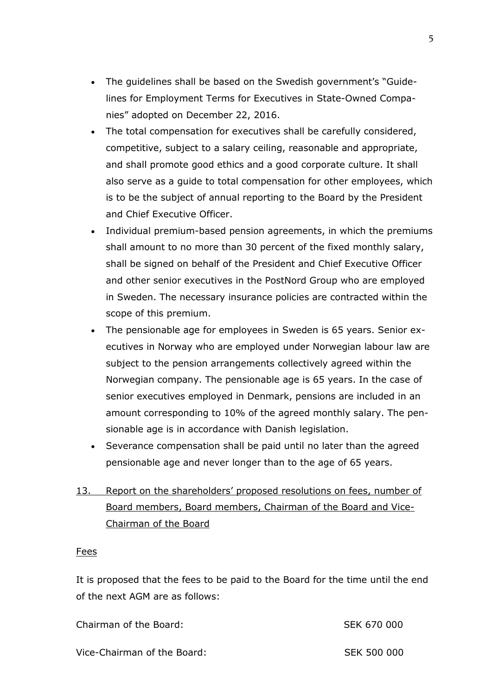- The guidelines shall be based on the Swedish government's "Guidelines for Employment Terms for Executives in State-Owned Companies" adopted on December 22, 2016.
- The total compensation for executives shall be carefully considered, competitive, subject to a salary ceiling, reasonable and appropriate, and shall promote good ethics and a good corporate culture. It shall also serve as a guide to total compensation for other employees, which is to be the subject of annual reporting to the Board by the President and Chief Executive Officer.
- Individual premium-based pension agreements, in which the premiums shall amount to no more than 30 percent of the fixed monthly salary, shall be signed on behalf of the President and Chief Executive Officer and other senior executives in the PostNord Group who are employed in Sweden. The necessary insurance policies are contracted within the scope of this premium.
- The pensionable age for employees in Sweden is 65 years. Senior executives in Norway who are employed under Norwegian labour law are subject to the pension arrangements collectively agreed within the Norwegian company. The pensionable age is 65 years. In the case of senior executives employed in Denmark, pensions are included in an amount corresponding to 10% of the agreed monthly salary. The pensionable age is in accordance with Danish legislation.
- Severance compensation shall be paid until no later than the agreed pensionable age and never longer than to the age of 65 years.
- 13. Report on the shareholders' proposed resolutions on fees, number of Board members, Board members, Chairman of the Board and Vice-Chairman of the Board

### Fees

It is proposed that the fees to be paid to the Board for the time until the end of the next AGM are as follows:

| Chairman of the Board:      | SEK 670 000        |
|-----------------------------|--------------------|
| Vice-Chairman of the Board: | <b>SEK 500 000</b> |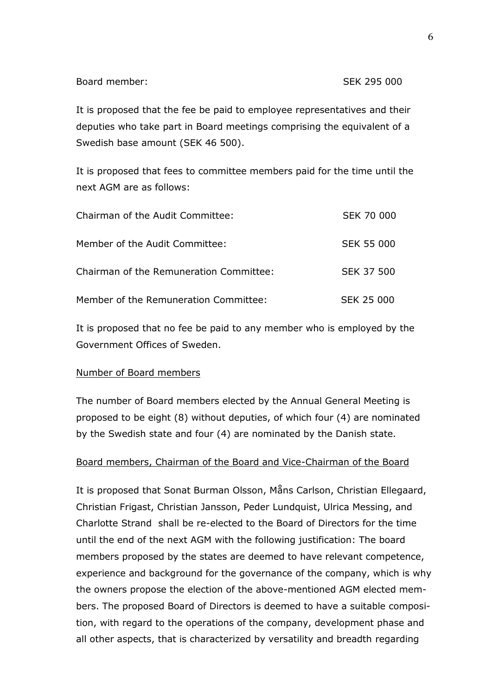It is proposed that the fee be paid to employee representatives and their deputies who take part in Board meetings comprising the equivalent of a Swedish base amount (SEK 46 500).

It is proposed that fees to committee members paid for the time until the next AGM are as follows:

| Chairman of the Audit Committee:        | SEK 70 000        |
|-----------------------------------------|-------------------|
| Member of the Audit Committee:          | <b>SEK 55 000</b> |
| Chairman of the Remuneration Committee: | SEK 37 500        |
| Member of the Remuneration Committee:   | SEK 25 000        |

It is proposed that no fee be paid to any member who is employed by the Government Offices of Sweden.

### Number of Board members

The number of Board members elected by the Annual General Meeting is proposed to be eight (8) without deputies, of which four (4) are nominated by the Swedish state and four (4) are nominated by the Danish state.

### Board members, Chairman of the Board and Vice-Chairman of the Board

It is proposed that Sonat Burman Olsson, Måns Carlson, Christian Ellegaard, Christian Frigast, Christian Jansson, Peder Lundquist, Ulrica Messing, and Charlotte Strand shall be re-elected to the Board of Directors for the time until the end of the next AGM with the following justification: The board members proposed by the states are deemed to have relevant competence, experience and background for the governance of the company, which is why the owners propose the election of the above-mentioned AGM elected members. The proposed Board of Directors is deemed to have a suitable composition, with regard to the operations of the company, development phase and all other aspects, that is characterized by versatility and breadth regarding